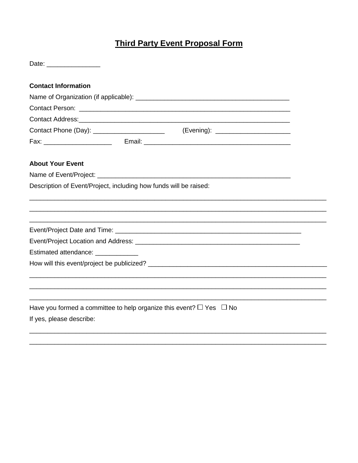## **Third Party Event Proposal Form**

| Date: _________________                                                                                                                                                                                                              |  |  |  |  |
|--------------------------------------------------------------------------------------------------------------------------------------------------------------------------------------------------------------------------------------|--|--|--|--|
| <b>Contact Information</b>                                                                                                                                                                                                           |  |  |  |  |
|                                                                                                                                                                                                                                      |  |  |  |  |
|                                                                                                                                                                                                                                      |  |  |  |  |
|                                                                                                                                                                                                                                      |  |  |  |  |
|                                                                                                                                                                                                                                      |  |  |  |  |
|                                                                                                                                                                                                                                      |  |  |  |  |
| <b>About Your Event</b>                                                                                                                                                                                                              |  |  |  |  |
|                                                                                                                                                                                                                                      |  |  |  |  |
| Description of Event/Project, including how funds will be raised:                                                                                                                                                                    |  |  |  |  |
|                                                                                                                                                                                                                                      |  |  |  |  |
|                                                                                                                                                                                                                                      |  |  |  |  |
|                                                                                                                                                                                                                                      |  |  |  |  |
|                                                                                                                                                                                                                                      |  |  |  |  |
|                                                                                                                                                                                                                                      |  |  |  |  |
| Estimated attendance: <b>contract to the set of the set of the set of the set of the set of the set of the set of the set of the set of the set of the set of the set of the set of the set of the set of the set of the set of </b> |  |  |  |  |
|                                                                                                                                                                                                                                      |  |  |  |  |
|                                                                                                                                                                                                                                      |  |  |  |  |
|                                                                                                                                                                                                                                      |  |  |  |  |
|                                                                                                                                                                                                                                      |  |  |  |  |
| Have you formed a committee to help organize this event? $\Box$ Yes $\Box$ No                                                                                                                                                        |  |  |  |  |
| If yes, please describe:                                                                                                                                                                                                             |  |  |  |  |
|                                                                                                                                                                                                                                      |  |  |  |  |